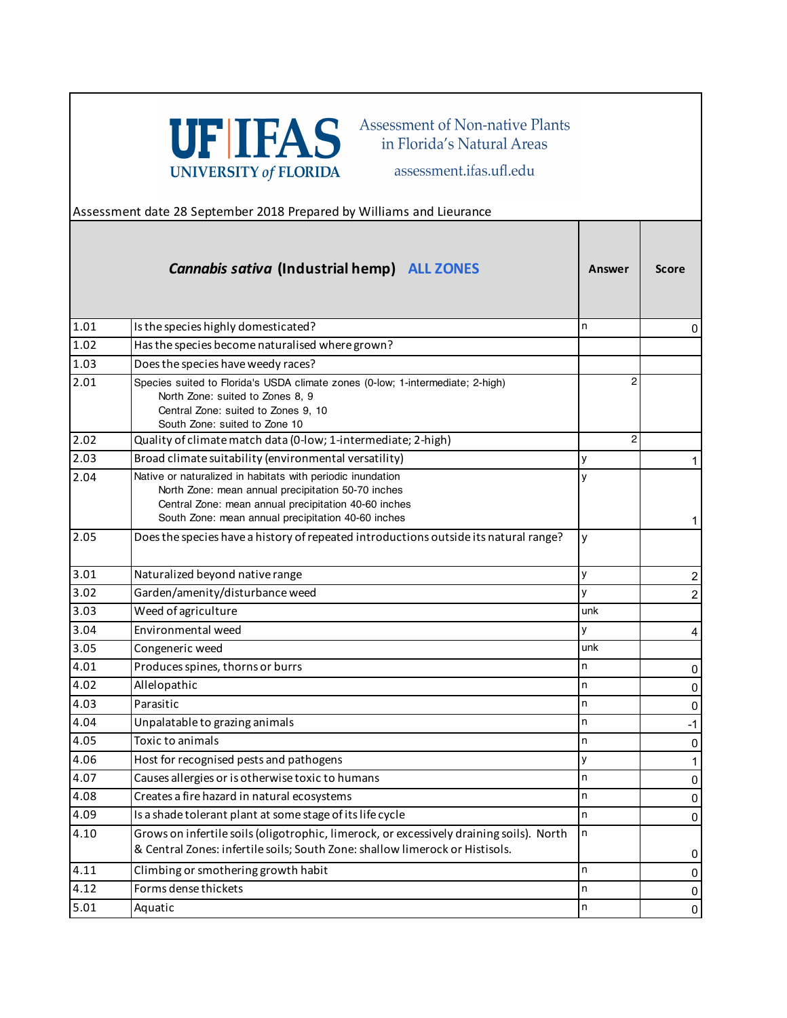

Assessment of Non-native Plants in Florida's Natural Areas

assessment.ifas.ufl.edu

Assessment date 28 September 2018 Prepared by Williams and Lieurance

|      | <b>Cannabis sativa (Industrial hemp) ALL ZONES</b>                                                                                                                                                                             | Answer  | <b>Score</b>   |
|------|--------------------------------------------------------------------------------------------------------------------------------------------------------------------------------------------------------------------------------|---------|----------------|
| 1.01 | Is the species highly domesticated?                                                                                                                                                                                            | n       | 0              |
| 1.02 | Has the species become naturalised where grown?                                                                                                                                                                                |         |                |
| 1.03 | Does the species have weedy races?                                                                                                                                                                                             |         |                |
| 2.01 | Species suited to Florida's USDA climate zones (0-low; 1-intermediate; 2-high)<br>North Zone: suited to Zones 8, 9<br>Central Zone: suited to Zones 9, 10<br>South Zone: suited to Zone 10                                     | 2       |                |
| 2.02 | Quality of climate match data (0-low; 1-intermediate; 2-high)                                                                                                                                                                  | 2       |                |
| 2.03 | Broad climate suitability (environmental versatility)                                                                                                                                                                          | y       | 1              |
| 2.04 | Native or naturalized in habitats with periodic inundation<br>North Zone: mean annual precipitation 50-70 inches<br>Central Zone: mean annual precipitation 40-60 inches<br>South Zone: mean annual precipitation 40-60 inches | ٧       | 1              |
| 2.05 | Does the species have a history of repeated introductions outside its natural range?                                                                                                                                           | y       |                |
| 3.01 | Naturalized beyond native range                                                                                                                                                                                                | У       | 2              |
| 3.02 | Garden/amenity/disturbance weed                                                                                                                                                                                                | y       | $\overline{2}$ |
| 3.03 | Weed of agriculture                                                                                                                                                                                                            | unk     |                |
| 3.04 | Environmental weed                                                                                                                                                                                                             | у       | 4              |
| 3.05 | Congeneric weed                                                                                                                                                                                                                | unk     |                |
| 4.01 | Produces spines, thorns or burrs                                                                                                                                                                                               | n       | 0              |
| 4.02 | Allelopathic                                                                                                                                                                                                                   | n       | 0              |
| 4.03 | Parasitic                                                                                                                                                                                                                      | n       | 0              |
| 4.04 | Unpalatable to grazing animals                                                                                                                                                                                                 | n       | $-1$           |
| 4.05 | Toxic to animals                                                                                                                                                                                                               | n       | $\pmb{0}$      |
| 4.06 | Host for recognised pests and pathogens                                                                                                                                                                                        | У       | $\mathbf 1$    |
| 4.07 | Causes allergies or is otherwise toxic to humans                                                                                                                                                                               | n       | 0              |
| 4.08 | Creates a fire hazard in natural ecosystems                                                                                                                                                                                    | n       | $\mathbf 0$    |
| 4.09 | Is a shade tolerant plant at some stage of its life cycle                                                                                                                                                                      | n       | $\pmb{0}$      |
| 4.10 | Grows on infertile soils (oligotrophic, limerock, or excessively draining soils). North<br>& Central Zones: infertile soils; South Zone: shallow limerock or Histisols.                                                        | n       | 0              |
| 4.11 | Climbing or smothering growth habit                                                                                                                                                                                            | n       | 0              |
| 4.12 | Forms dense thickets                                                                                                                                                                                                           | n       | 0              |
| 5.01 | Aquatic                                                                                                                                                                                                                        | $\sf n$ | $\pmb{0}$      |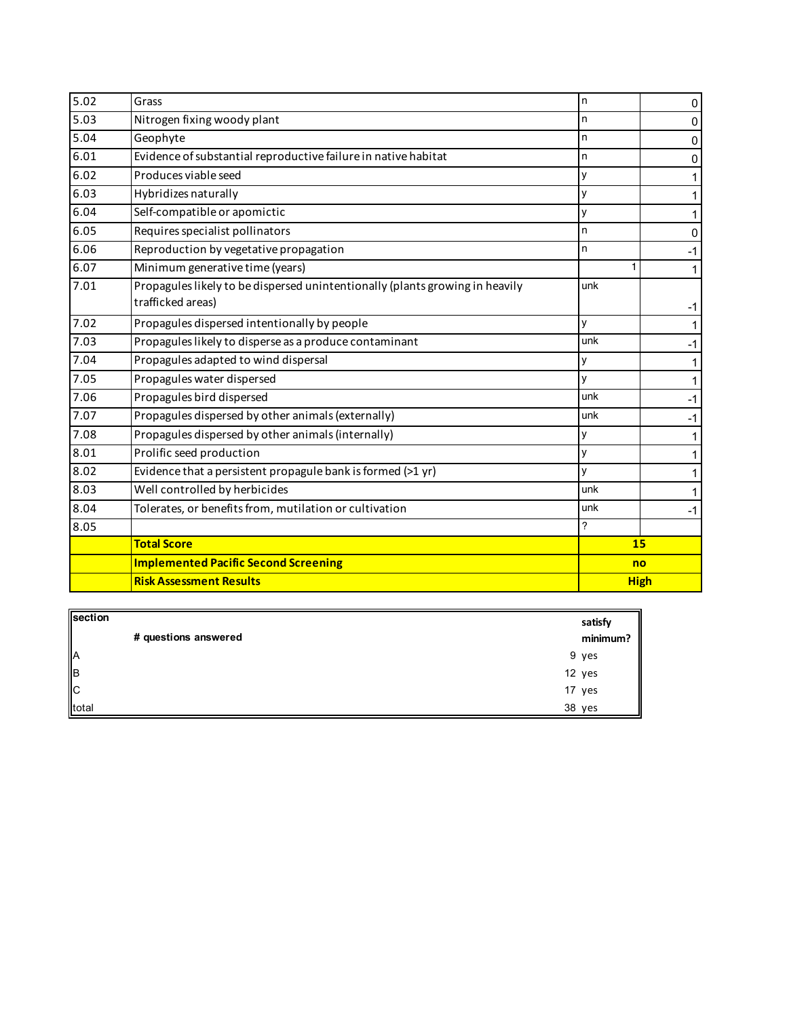| 5.02 | Grass                                                                                             | n.          | 0           |
|------|---------------------------------------------------------------------------------------------------|-------------|-------------|
| 5.03 | Nitrogen fixing woody plant<br>n                                                                  |             | $\mathbf 0$ |
| 5.04 | Geophyte                                                                                          |             | $\mathbf 0$ |
| 6.01 | Evidence of substantial reproductive failure in native habitat                                    |             | $\mathbf 0$ |
| 6.02 | Produces viable seed                                                                              |             | 1           |
| 6.03 | Hybridizes naturally<br>y                                                                         |             | 1           |
| 6.04 | Self-compatible or apomictic                                                                      | У           | 1           |
| 6.05 | Requires specialist pollinators                                                                   | n           | $\Omega$    |
| 6.06 | Reproduction by vegetative propagation                                                            | n           | $-1$        |
| 6.07 | Minimum generative time (years)                                                                   |             |             |
| 7.01 | Propagules likely to be dispersed unintentionally (plants growing in heavily<br>trafficked areas) | unk         | $-1$        |
| 7.02 | Propagules dispersed intentionally by people                                                      | y           | 1           |
| 7.03 | Propagules likely to disperse as a produce contaminant                                            | unk         | $-1$        |
| 7.04 | Propagules adapted to wind dispersal                                                              | у           | 1           |
| 7.05 | Propagules water dispersed                                                                        | y           | 1           |
| 7.06 | Propagules bird dispersed                                                                         | unk         | $-1$        |
| 7.07 | Propagules dispersed by other animals (externally)                                                | unk         | -1          |
| 7.08 | Propagules dispersed by other animals (internally)                                                | у           | 1           |
| 8.01 | Prolific seed production                                                                          | y           |             |
| 8.02 | Evidence that a persistent propagule bank is formed (>1 yr)                                       | y           | 1           |
| 8.03 | Well controlled by herbicides                                                                     | unk         | 1           |
| 8.04 | Tolerates, or benefits from, mutilation or cultivation                                            | unk         | $-1$        |
| 8.05 |                                                                                                   | 7           |             |
|      | <b>Total Score</b>                                                                                | 15          |             |
|      | <b>Implemented Pacific Second Screening</b>                                                       | no          |             |
|      | <b>Risk Assessment Results</b>                                                                    | <b>High</b> |             |

| section<br>A<br>B<br>C<br>total |                      | satisfy  |
|---------------------------------|----------------------|----------|
|                                 | # questions answered | minimum? |
|                                 |                      | 9 yes    |
|                                 |                      | 12 yes   |
|                                 |                      | 17 yes   |
|                                 |                      | 38 yes   |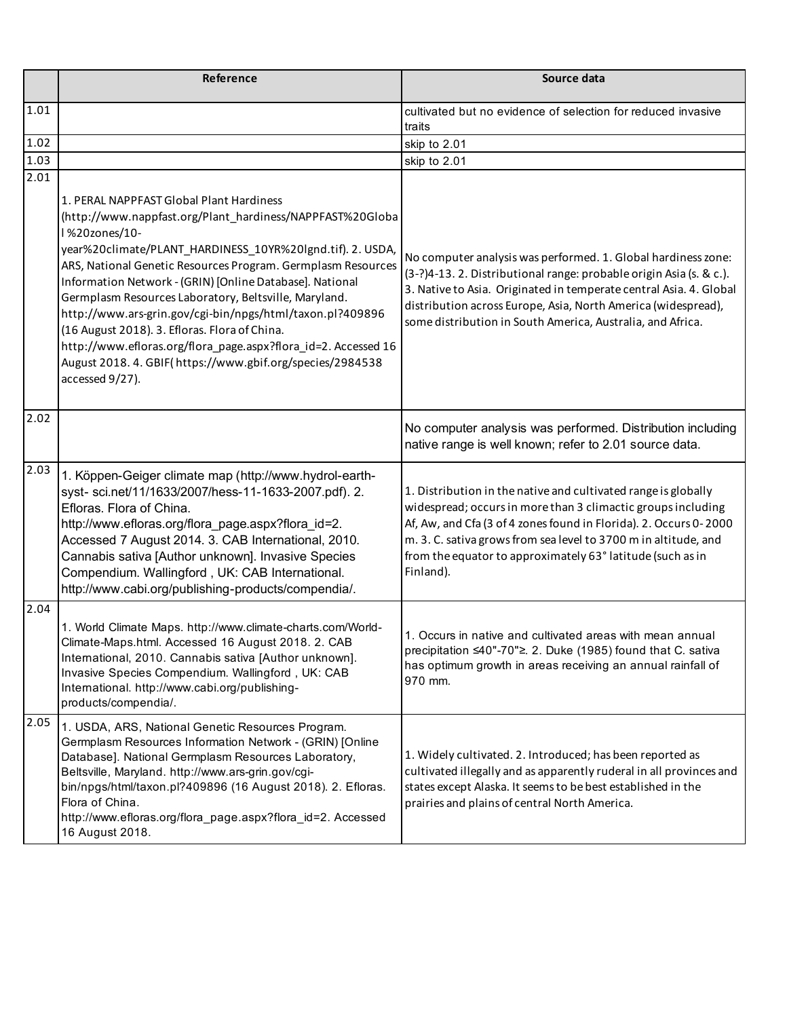|      | Reference                                                                                                                                                                                                                                                                                                                                                                                                                                                                                                                                                                                                                                 | Source data                                                                                                                                                                                                                                                                                                                                       |
|------|-------------------------------------------------------------------------------------------------------------------------------------------------------------------------------------------------------------------------------------------------------------------------------------------------------------------------------------------------------------------------------------------------------------------------------------------------------------------------------------------------------------------------------------------------------------------------------------------------------------------------------------------|---------------------------------------------------------------------------------------------------------------------------------------------------------------------------------------------------------------------------------------------------------------------------------------------------------------------------------------------------|
| 1.01 |                                                                                                                                                                                                                                                                                                                                                                                                                                                                                                                                                                                                                                           | cultivated but no evidence of selection for reduced invasive<br>traits                                                                                                                                                                                                                                                                            |
| 1.02 |                                                                                                                                                                                                                                                                                                                                                                                                                                                                                                                                                                                                                                           | skip to 2.01                                                                                                                                                                                                                                                                                                                                      |
| 1.03 |                                                                                                                                                                                                                                                                                                                                                                                                                                                                                                                                                                                                                                           | skip to 2.01                                                                                                                                                                                                                                                                                                                                      |
| 2.01 | 1. PERAL NAPPFAST Global Plant Hardiness<br>(http://www.nappfast.org/Plant_hardiness/NAPPFAST%20Globa<br>l %20zones/10-<br>year%20climate/PLANT_HARDINESS_10YR%20lgnd.tif). 2. USDA,<br>ARS, National Genetic Resources Program. Germplasm Resources<br>Information Network - (GRIN) [Online Database]. National<br>Germplasm Resources Laboratory, Beltsville, Maryland.<br>http://www.ars-grin.gov/cgi-bin/npgs/html/taxon.pl?409896<br>(16 August 2018). 3. Efloras. Flora of China.<br>http://www.efloras.org/flora_page.aspx?flora_id=2. Accessed 16<br>August 2018. 4. GBIF(https://www.gbif.org/species/2984538<br>accessed 9/27). | No computer analysis was performed. 1. Global hardiness zone:<br>(3-?)4-13. 2. Distributional range: probable origin Asia (s. & c.).<br>3. Native to Asia. Originated in temperate central Asia. 4. Global<br>distribution across Europe, Asia, North America (widespread),<br>some distribution in South America, Australia, and Africa.         |
| 2.02 |                                                                                                                                                                                                                                                                                                                                                                                                                                                                                                                                                                                                                                           | No computer analysis was performed. Distribution including<br>native range is well known; refer to 2.01 source data.                                                                                                                                                                                                                              |
| 2.03 | 1. Köppen-Geiger climate map (http://www.hydrol-earth-<br>syst- sci.net/11/1633/2007/hess-11-1633-2007.pdf). 2.<br>Efloras. Flora of China.<br>http://www.efloras.org/flora_page.aspx?flora_id=2.<br>Accessed 7 August 2014. 3. CAB International, 2010.<br>Cannabis sativa [Author unknown]. Invasive Species<br>Compendium. Wallingford, UK: CAB International.<br>http://www.cabi.org/publishing-products/compendia/.                                                                                                                                                                                                                  | 1. Distribution in the native and cultivated range is globally<br>widespread; occurs in more than 3 climactic groups including<br>Af, Aw, and Cfa (3 of 4 zones found in Florida). 2. Occurs 0-2000<br>m. 3. C. sativa grows from sea level to 3700 m in altitude, and<br>from the equator to approximately 63° latitude (such as in<br>Finland). |
| 2.04 | 1. World Climate Maps. http://www.climate-charts.com/World-<br>Climate-Maps.html. Accessed 16 August 2018. 2. CAB<br>International, 2010. Cannabis sativa [Author unknown].<br>Invasive Species Compendium. Wallingford, UK: CAB<br>International. http://www.cabi.org/publishing-<br>products/compendia/.                                                                                                                                                                                                                                                                                                                                | 1. Occurs in native and cultivated areas with mean annual<br>precipitation ≤40"-70"≥. 2. Duke (1985) found that C. sativa<br>has optimum growth in areas receiving an annual rainfall of<br>970 mm.                                                                                                                                               |
| 2.05 | 1. USDA, ARS, National Genetic Resources Program.<br>Germplasm Resources Information Network - (GRIN) [Online<br>Database]. National Germplasm Resources Laboratory,<br>Beltsville, Maryland. http://www.ars-grin.gov/cgi-<br>bin/npgs/html/taxon.pl?409896 (16 August 2018). 2. Efloras.<br>Flora of China.<br>http://www.efloras.org/flora_page.aspx?flora_id=2. Accessed<br>16 August 2018.                                                                                                                                                                                                                                            | 1. Widely cultivated. 2. Introduced; has been reported as<br>cultivated illegally and as apparently ruderal in all provinces and<br>states except Alaska. It seems to be best established in the<br>prairies and plains of central North America.                                                                                                 |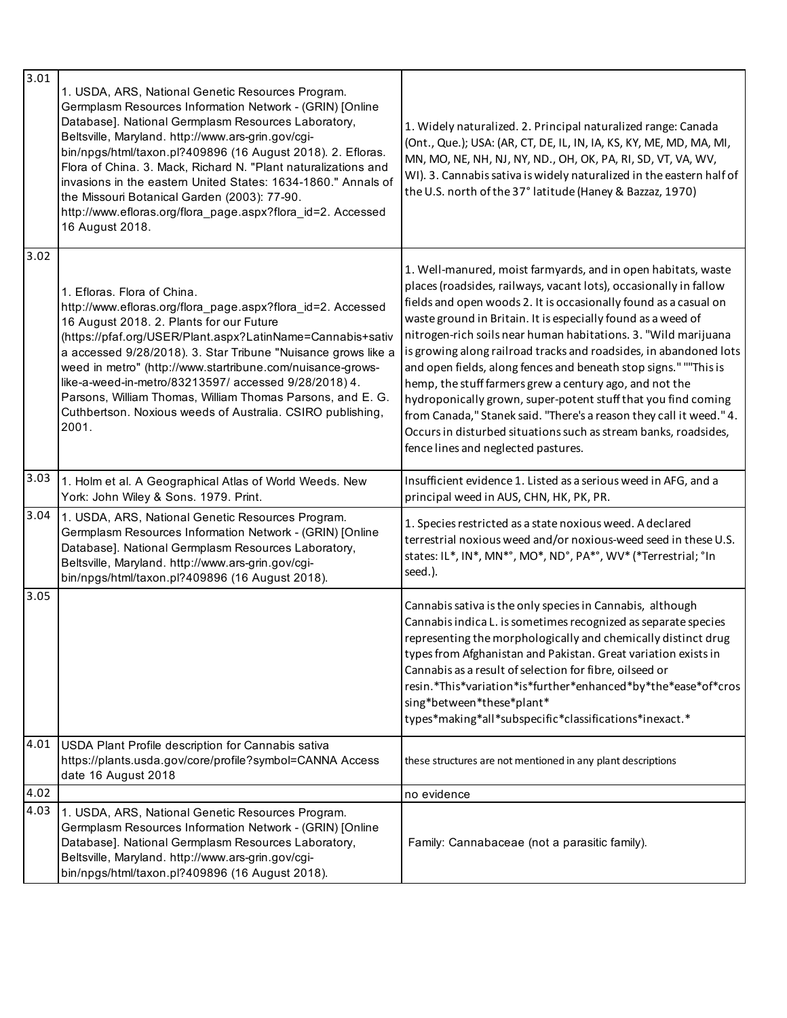| 3.01 | 1. USDA, ARS, National Genetic Resources Program.<br>Germplasm Resources Information Network - (GRIN) [Online<br>Database]. National Germplasm Resources Laboratory,<br>Beltsville, Maryland. http://www.ars-grin.gov/cgi-<br>bin/npgs/html/taxon.pl?409896 (16 August 2018). 2. Efloras.<br>Flora of China. 3. Mack, Richard N. "Plant naturalizations and<br>invasions in the eastern United States: 1634-1860." Annals of<br>the Missouri Botanical Garden (2003): 77-90.<br>http://www.efloras.org/flora_page.aspx?flora_id=2. Accessed<br>16 August 2018. | 1. Widely naturalized. 2. Principal naturalized range: Canada<br>(Ont., Que.); USA: (AR, CT, DE, IL, IN, IA, KS, KY, ME, MD, MA, MI,<br>MN, MO, NE, NH, NJ, NY, ND., OH, OK, PA, RI, SD, VT, VA, WV,<br>WI). 3. Cannabis sativa is widely naturalized in the eastern half of<br>the U.S. north of the 37° latitude (Haney & Bazzaz, 1970)                                                                                                                                                                                                                                                                                                                                                                                                                                                      |
|------|----------------------------------------------------------------------------------------------------------------------------------------------------------------------------------------------------------------------------------------------------------------------------------------------------------------------------------------------------------------------------------------------------------------------------------------------------------------------------------------------------------------------------------------------------------------|------------------------------------------------------------------------------------------------------------------------------------------------------------------------------------------------------------------------------------------------------------------------------------------------------------------------------------------------------------------------------------------------------------------------------------------------------------------------------------------------------------------------------------------------------------------------------------------------------------------------------------------------------------------------------------------------------------------------------------------------------------------------------------------------|
| 3.02 | 1. Efloras. Flora of China.<br>http://www.efloras.org/flora_page.aspx?flora_id=2. Accessed<br>16 August 2018. 2. Plants for our Future<br>(https://pfaf.org/USER/Plant.aspx?LatinName=Cannabis+sativ<br>a accessed 9/28/2018). 3. Star Tribune "Nuisance grows like a<br>weed in metro" (http://www.startribune.com/nuisance-grows-<br>like-a-weed-in-metro/83213597/ accessed 9/28/2018) 4.<br>Parsons, William Thomas, William Thomas Parsons, and E. G.<br>Cuthbertson. Noxious weeds of Australia. CSIRO publishing,<br>2001.                              | 1. Well-manured, moist farmyards, and in open habitats, waste<br>places (roadsides, railways, vacant lots), occasionally in fallow<br>fields and open woods 2. It is occasionally found as a casual on<br>waste ground in Britain. It is especially found as a weed of<br>nitrogen-rich soils near human habitations. 3. "Wild marijuana<br>is growing along railroad tracks and roadsides, in abandoned lots<br>and open fields, along fences and beneath stop signs." ""This is<br>hemp, the stuff farmers grew a century ago, and not the<br>hydroponically grown, super-potent stuff that you find coming<br>from Canada," Stanek said. "There's a reason they call it weed." 4.<br>Occurs in disturbed situations such as stream banks, roadsides,<br>fence lines and neglected pastures. |
| 3.03 | 1. Holm et al. A Geographical Atlas of World Weeds. New<br>York: John Wiley & Sons. 1979. Print.                                                                                                                                                                                                                                                                                                                                                                                                                                                               | Insufficient evidence 1. Listed as a serious weed in AFG, and a<br>principal weed in AUS, CHN, HK, PK, PR.                                                                                                                                                                                                                                                                                                                                                                                                                                                                                                                                                                                                                                                                                     |
| 3.04 | 1. USDA, ARS, National Genetic Resources Program.<br>Germplasm Resources Information Network - (GRIN) [Online<br>Database]. National Germplasm Resources Laboratory,<br>Beltsville, Maryland. http://www.ars-grin.gov/cgi-<br>bin/npgs/html/taxon.pl?409896 (16 August 2018).                                                                                                                                                                                                                                                                                  | 1. Species restricted as a state noxious weed. A declared<br>terrestrial noxious weed and/or noxious-weed seed in these U.S.<br>states: IL*, IN*, MN*°, MO*, ND°, PA*°, WV* (*Terrestrial; °In<br>seed.).                                                                                                                                                                                                                                                                                                                                                                                                                                                                                                                                                                                      |
| 3.05 |                                                                                                                                                                                                                                                                                                                                                                                                                                                                                                                                                                | Cannabis sativa is the only species in Cannabis, although<br>Cannabis indica L. is sometimes recognized as separate species<br>representing the morphologically and chemically distinct drug<br>types from Afghanistan and Pakistan. Great variation exists in<br>Cannabis as a result of selection for fibre, oilseed or<br>resin.*This*variation*is*further*enhanced*by*the*ease*of*cros<br>sing*between*these*plant*<br>types*making*all*subspecific*classifications*inexact.*                                                                                                                                                                                                                                                                                                              |
| 4.01 | USDA Plant Profile description for Cannabis sativa<br>https://plants.usda.gov/core/profile?symbol=CANNA Access<br>date 16 August 2018                                                                                                                                                                                                                                                                                                                                                                                                                          | these structures are not mentioned in any plant descriptions                                                                                                                                                                                                                                                                                                                                                                                                                                                                                                                                                                                                                                                                                                                                   |
| 4.02 |                                                                                                                                                                                                                                                                                                                                                                                                                                                                                                                                                                | no evidence                                                                                                                                                                                                                                                                                                                                                                                                                                                                                                                                                                                                                                                                                                                                                                                    |
| 4.03 | 1. USDA, ARS, National Genetic Resources Program.<br>Germplasm Resources Information Network - (GRIN) [Online<br>Database]. National Germplasm Resources Laboratory,<br>Beltsville, Maryland. http://www.ars-grin.gov/cgi-<br>bin/npgs/html/taxon.pl?409896 (16 August 2018).                                                                                                                                                                                                                                                                                  | Family: Cannabaceae (not a parasitic family).                                                                                                                                                                                                                                                                                                                                                                                                                                                                                                                                                                                                                                                                                                                                                  |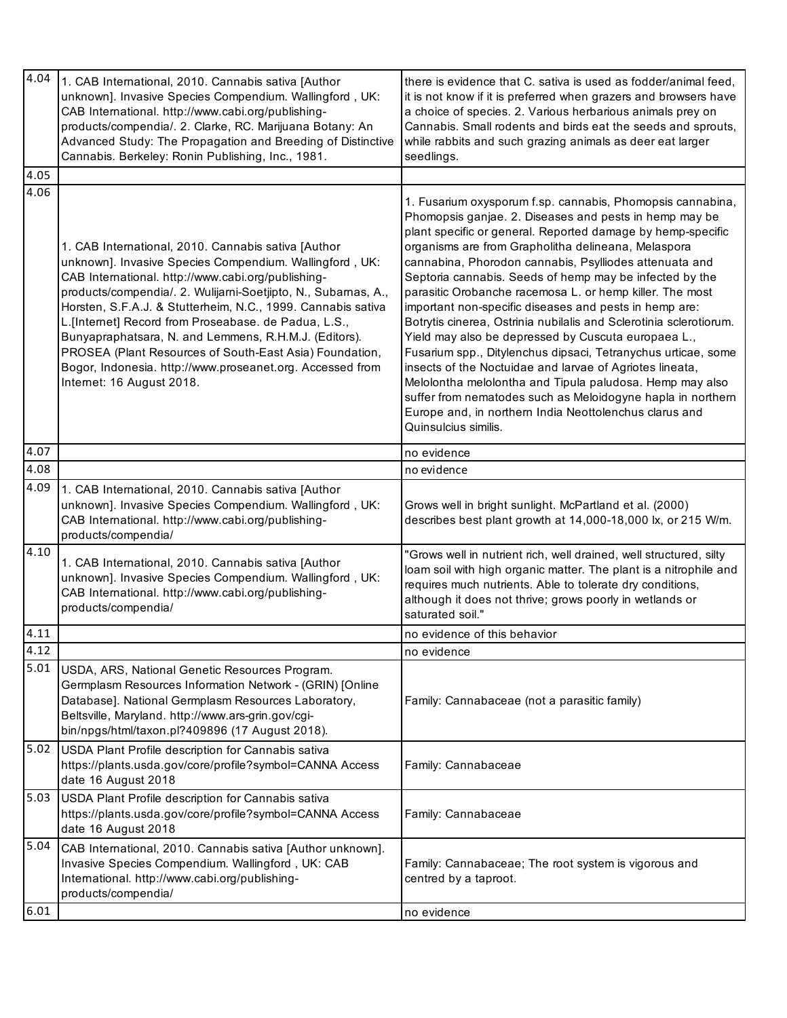| 4.04<br>4.05 | 1. CAB International, 2010. Cannabis sativa [Author<br>unknown]. Invasive Species Compendium. Wallingford, UK:<br>CAB International. http://www.cabi.org/publishing-<br>products/compendia/. 2. Clarke, RC. Marijuana Botany: An<br>Advanced Study: The Propagation and Breeding of Distinctive<br>Cannabis. Berkeley: Ronin Publishing, Inc., 1981.                                                                                                                                                                                                                        | there is evidence that C. sativa is used as fodder/animal feed,<br>it is not know if it is preferred when grazers and browsers have<br>a choice of species. 2. Various herbarious animals prey on<br>Cannabis. Small rodents and birds eat the seeds and sprouts,<br>while rabbits and such grazing animals as deer eat larger<br>seedlings.                                                                                                                                                                                                                                                                                                                                                                                                                                                                                                                                                                                                                 |
|--------------|-----------------------------------------------------------------------------------------------------------------------------------------------------------------------------------------------------------------------------------------------------------------------------------------------------------------------------------------------------------------------------------------------------------------------------------------------------------------------------------------------------------------------------------------------------------------------------|--------------------------------------------------------------------------------------------------------------------------------------------------------------------------------------------------------------------------------------------------------------------------------------------------------------------------------------------------------------------------------------------------------------------------------------------------------------------------------------------------------------------------------------------------------------------------------------------------------------------------------------------------------------------------------------------------------------------------------------------------------------------------------------------------------------------------------------------------------------------------------------------------------------------------------------------------------------|
| 4.06         |                                                                                                                                                                                                                                                                                                                                                                                                                                                                                                                                                                             |                                                                                                                                                                                                                                                                                                                                                                                                                                                                                                                                                                                                                                                                                                                                                                                                                                                                                                                                                              |
|              | 1. CAB International, 2010. Cannabis sativa [Author<br>unknown]. Invasive Species Compendium. Wallingford, UK:<br>CAB International. http://www.cabi.org/publishing-<br>products/compendia/. 2. Wulijami-Soetjipto, N., Subarnas, A.,<br>Horsten, S.F.A.J. & Stutterheim, N.C., 1999. Cannabis sativa<br>L.[Internet] Record from Proseabase. de Padua, L.S.,<br>Bunyapraphatsara, N. and Lemmens, R.H.M.J. (Editors).<br>PROSEA (Plant Resources of South-East Asia) Foundation,<br>Bogor, Indonesia. http://www.proseanet.org. Accessed from<br>Internet: 16 August 2018. | 1. Fusarium oxysporum f.sp. cannabis, Phomopsis cannabina,<br>Phomopsis ganjae. 2. Diseases and pests in hemp may be<br>plant specific or general. Reported damage by hemp-specific<br>organisms are from Grapholitha delineana, Melaspora<br>cannabina, Phorodon cannabis, Psylliodes attenuata and<br>Septoria cannabis. Seeds of hemp may be infected by the<br>parasitic Orobanche racemosa L. or hemp killer. The most<br>important non-specific diseases and pests in hemp are:<br>Botrytis cinerea, Ostrinia nubilalis and Sclerotinia sclerotiorum.<br>Yield may also be depressed by Cuscuta europaea L.,<br>Fusarium spp., Ditylenchus dipsaci, Tetranychus urticae, some<br>insects of the Noctuidae and larvae of Agriotes lineata,<br>Melolontha melolontha and Tipula paludosa. Hemp may also<br>suffer from nematodes such as Meloidogyne hapla in northern<br>Europe and, in northern India Neottolenchus clarus and<br>Quinsulcius similis. |
| 4.07         |                                                                                                                                                                                                                                                                                                                                                                                                                                                                                                                                                                             | no evidence                                                                                                                                                                                                                                                                                                                                                                                                                                                                                                                                                                                                                                                                                                                                                                                                                                                                                                                                                  |
| 4.08         |                                                                                                                                                                                                                                                                                                                                                                                                                                                                                                                                                                             | no evidence                                                                                                                                                                                                                                                                                                                                                                                                                                                                                                                                                                                                                                                                                                                                                                                                                                                                                                                                                  |
| 4.09         | 1. CAB International, 2010. Cannabis sativa [Author<br>unknown]. Invasive Species Compendium. Wallingford, UK:<br>CAB International. http://www.cabi.org/publishing-<br>products/compendia/                                                                                                                                                                                                                                                                                                                                                                                 | Grows well in bright sunlight. McPartland et al. (2000)<br>describes best plant growth at 14,000-18,000 lx, or 215 W/m.                                                                                                                                                                                                                                                                                                                                                                                                                                                                                                                                                                                                                                                                                                                                                                                                                                      |
| 4.10         | 1. CAB International, 2010. Cannabis sativa [Author<br>unknown]. Invasive Species Compendium. Wallingford, UK:<br>CAB International. http://www.cabi.org/publishing-<br>products/compendia/                                                                                                                                                                                                                                                                                                                                                                                 | "Grows well in nutrient rich, well drained, well structured, silty<br>loam soil with high organic matter. The plant is a nitrophile and<br>requires much nutrients. Able to tolerate dry conditions,<br>although it does not thrive; grows poorly in wetlands or<br>saturated soil."                                                                                                                                                                                                                                                                                                                                                                                                                                                                                                                                                                                                                                                                         |
| 4.11         |                                                                                                                                                                                                                                                                                                                                                                                                                                                                                                                                                                             | no evidence of this behavior                                                                                                                                                                                                                                                                                                                                                                                                                                                                                                                                                                                                                                                                                                                                                                                                                                                                                                                                 |
| 4.12         |                                                                                                                                                                                                                                                                                                                                                                                                                                                                                                                                                                             | no evidence                                                                                                                                                                                                                                                                                                                                                                                                                                                                                                                                                                                                                                                                                                                                                                                                                                                                                                                                                  |
| 5.01         | USDA, ARS, National Genetic Resources Program.<br>Germplasm Resources Information Network - (GRIN) [Online<br>Database]. National Germplasm Resources Laboratory,<br>Beltsville, Maryland. http://www.ars-grin.gov/cgi-<br>bin/npgs/html/taxon.pl?409896 (17 August 2018).                                                                                                                                                                                                                                                                                                  | Family: Cannabaceae (not a parasitic family)                                                                                                                                                                                                                                                                                                                                                                                                                                                                                                                                                                                                                                                                                                                                                                                                                                                                                                                 |
| 5.02         | USDA Plant Profile description for Cannabis sativa<br>https://plants.usda.gov/core/profile?symbol=CANNA Access<br>date 16 August 2018                                                                                                                                                                                                                                                                                                                                                                                                                                       | Family: Cannabaceae                                                                                                                                                                                                                                                                                                                                                                                                                                                                                                                                                                                                                                                                                                                                                                                                                                                                                                                                          |
| 5.03         | USDA Plant Profile description for Cannabis sativa<br>https://plants.usda.gov/core/profile?symbol=CANNA Access<br>date 16 August 2018                                                                                                                                                                                                                                                                                                                                                                                                                                       | Family: Cannabaceae                                                                                                                                                                                                                                                                                                                                                                                                                                                                                                                                                                                                                                                                                                                                                                                                                                                                                                                                          |
| 5.04         | CAB International, 2010. Cannabis sativa [Author unknown].<br>Invasive Species Compendium. Wallingford, UK: CAB<br>International. http://www.cabi.org/publishing-<br>products/compendia/                                                                                                                                                                                                                                                                                                                                                                                    | Family: Cannabaceae; The root system is vigorous and<br>centred by a taproot.                                                                                                                                                                                                                                                                                                                                                                                                                                                                                                                                                                                                                                                                                                                                                                                                                                                                                |
| 6.01         |                                                                                                                                                                                                                                                                                                                                                                                                                                                                                                                                                                             | no evidence                                                                                                                                                                                                                                                                                                                                                                                                                                                                                                                                                                                                                                                                                                                                                                                                                                                                                                                                                  |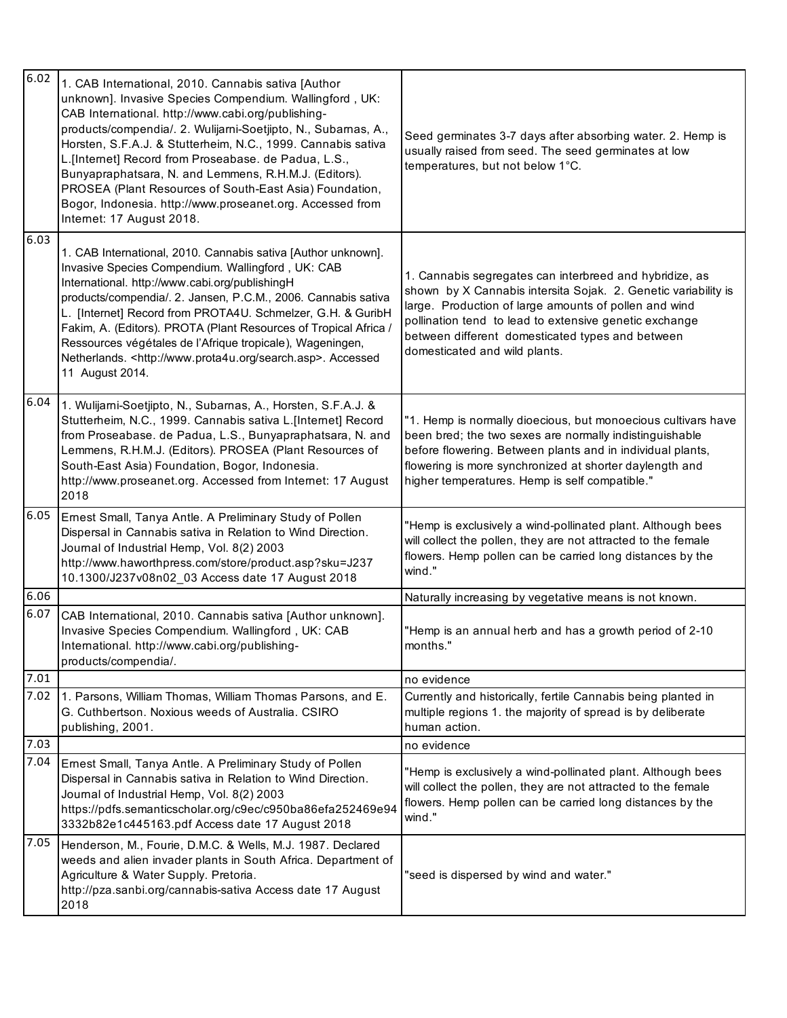| 6.02 | 1. CAB International, 2010. Cannabis sativa [Author<br>unknown]. Invasive Species Compendium. Wallingford, UK:<br>CAB International. http://www.cabi.org/publishing-<br>products/compendia/. 2. Wulijarni-Soetjipto, N., Subarnas, A.,<br>Horsten, S.F.A.J. & Stutterheim, N.C., 1999. Cannabis sativa<br>L.[Internet] Record from Proseabase. de Padua, L.S.,<br>Bunyapraphatsara, N. and Lemmens, R.H.M.J. (Editors).<br>PROSEA (Plant Resources of South-East Asia) Foundation,<br>Bogor, Indonesia. http://www.proseanet.org. Accessed from<br>Internet: 17 August 2018. | Seed germinates 3-7 days after absorbing water. 2. Hemp is<br>usually raised from seed. The seed germinates at low<br>temperatures, but not below 1°C.                                                                                                                                                                            |
|------|------------------------------------------------------------------------------------------------------------------------------------------------------------------------------------------------------------------------------------------------------------------------------------------------------------------------------------------------------------------------------------------------------------------------------------------------------------------------------------------------------------------------------------------------------------------------------|-----------------------------------------------------------------------------------------------------------------------------------------------------------------------------------------------------------------------------------------------------------------------------------------------------------------------------------|
| 6.03 | 1. CAB International, 2010. Cannabis sativa [Author unknown].<br>Invasive Species Compendium. Wallingford, UK: CAB<br>International. http://www.cabi.org/publishingH<br>products/compendia/. 2. Jansen, P.C.M., 2006. Cannabis sativa<br>L. [Internet] Record from PROTA4U. Schmelzer, G.H. & GuribH<br>Fakim, A. (Editors). PROTA (Plant Resources of Tropical Africa /<br>Ressources végétales de l'Afrique tropicale), Wageningen,<br>Netherlands. < http://www.prota4u.org/search.asp>. Accessed<br>11 August 2014.                                                      | 1. Cannabis segregates can interbreed and hybridize, as<br>shown by X Cannabis intersita Sojak. 2. Genetic variability is<br>large. Production of large amounts of pollen and wind<br>pollination tend to lead to extensive genetic exchange<br>between different domesticated types and between<br>domesticated and wild plants. |
| 6.04 | 1. Wulijarni-Soetjipto, N., Subarnas, A., Horsten, S.F.A.J. &<br>Stutterheim, N.C., 1999. Cannabis sativa L.[Internet] Record<br>from Proseabase. de Padua, L.S., Bunyapraphatsara, N. and<br>Lemmens, R.H.M.J. (Editors). PROSEA (Plant Resources of<br>South-East Asia) Foundation, Bogor, Indonesia.<br>http://www.proseanet.org. Accessed from Internet: 17 August<br>2018                                                                                                                                                                                               | "1. Hemp is normally dioecious, but monoecious cultivars have<br>been bred; the two sexes are normally indistinguishable<br>before flowering. Between plants and in individual plants,<br>flowering is more synchronized at shorter daylength and<br>higher temperatures. Hemp is self compatible."                               |
| 6.05 | Ernest Small, Tanya Antle. A Preliminary Study of Pollen<br>Dispersal in Cannabis sativa in Relation to Wind Direction.<br>Journal of Industrial Hemp, Vol. 8(2) 2003<br>http://www.haworthpress.com/store/product.asp?sku=J237<br>10.1300/J237v08n02_03 Access date 17 August 2018                                                                                                                                                                                                                                                                                          | "Hemp is exclusively a wind-pollinated plant. Although bees<br>will collect the pollen, they are not attracted to the female<br>flowers. Hemp pollen can be carried long distances by the<br>wind."                                                                                                                               |
| 6.06 |                                                                                                                                                                                                                                                                                                                                                                                                                                                                                                                                                                              | Naturally increasing by vegetative means is not known.                                                                                                                                                                                                                                                                            |
| 6.07 | CAB International, 2010. Cannabis sativa [Author unknown].<br>Invasive Species Compendium. Wallingford, UK: CAB<br>International. http://www.cabi.org/publishing-<br>products/compendia/.                                                                                                                                                                                                                                                                                                                                                                                    | "Hemp is an annual herb and has a growth period of 2-10<br>months."                                                                                                                                                                                                                                                               |
| 7.01 |                                                                                                                                                                                                                                                                                                                                                                                                                                                                                                                                                                              | no evidence                                                                                                                                                                                                                                                                                                                       |
| 7.02 | 1. Parsons, William Thomas, William Thomas Parsons, and E.<br>G. Cuthbertson. Noxious weeds of Australia. CSIRO<br>publishing, 2001.                                                                                                                                                                                                                                                                                                                                                                                                                                         | Currently and historically, fertile Cannabis being planted in<br>multiple regions 1. the majority of spread is by deliberate<br>human action.                                                                                                                                                                                     |
| 7.03 |                                                                                                                                                                                                                                                                                                                                                                                                                                                                                                                                                                              | no evidence                                                                                                                                                                                                                                                                                                                       |
| 7.04 | Ernest Small, Tanya Antle. A Preliminary Study of Pollen<br>Dispersal in Cannabis sativa in Relation to Wind Direction.<br>Journal of Industrial Hemp, Vol. 8(2) 2003<br>https://pdfs.semanticscholar.org/c9ec/c950ba86efa252469e94<br>3332b82e1c445163.pdf Access date 17 August 2018                                                                                                                                                                                                                                                                                       | "Hemp is exclusively a wind-pollinated plant. Although bees<br>will collect the pollen, they are not attracted to the female<br>flowers. Hemp pollen can be carried long distances by the<br>wind."                                                                                                                               |
| 7.05 | Henderson, M., Fourie, D.M.C. & Wells, M.J. 1987. Declared<br>weeds and alien invader plants in South Africa. Department of<br>Agriculture & Water Supply. Pretoria.<br>http://pza.sanbi.org/cannabis-sativa Access date 17 August<br>2018                                                                                                                                                                                                                                                                                                                                   | "seed is dispersed by wind and water."                                                                                                                                                                                                                                                                                            |